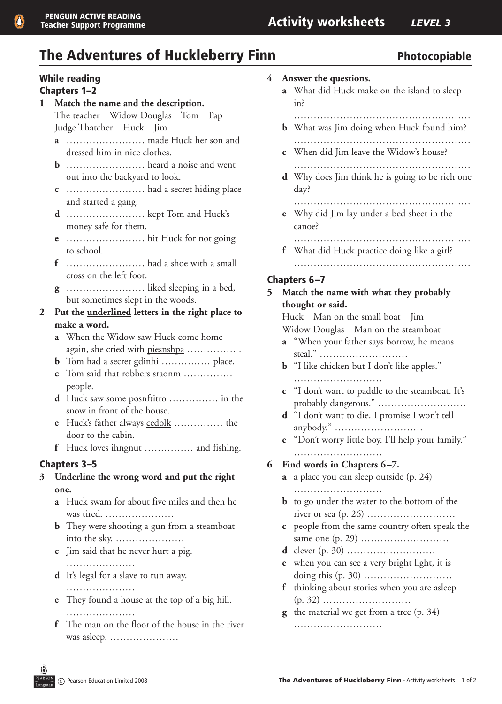# The Adventures of Huckleberry Finn The Adventures of Huckleberry Finn

# While reading

#### Chapters 1–2

- **1 Match the name and the description.** The teacher Widow Douglas Tom Pap Judge Thatcher Huck Jim
	- **a**  …………………… made Huck her son and dressed him in nice clothes.
	- **b** …………………… heard a noise and went out into the backyard to look.
	- **c** …………………… had a secret hiding place and started a gang.
	- **d** …………………… kept Tom and Huck's money safe for them.
	- **e** …………………… hit Huck for not going to school.
	- $\bf f$  ………………………………… had a shoe with a small cross on the left foot.
	- **g** …………………… liked sleeping in a bed, but sometimes slept in the woods.
- **2 Put the underlined letters in the right place to make a word.**
	- **a** When the Widow saw Huck come home again, she cried with piesnshpa …………… .
	- **b** Tom had a secret gdinhi …………… place.
	- **c**  Tom said that robbers sraonm …………… people.
	- **d** Huck saw some posnftitro …………… in the snow in front of the house.
	- **e**  Huck's father always cedolk …………… the door to the cabin.
	- **f** Huck loves ihngnut …………… and fishing.

#### Chapters 3–5

- **3 Underline the wrong word and put the right one.**
	- **a** Huck swam for about five miles and then he was tired. …………………
	- **b** They were shooting a gun from a steamboat into the sky. …………………
	- **c** Jim said that he never hurt a pig.
		- ……………………
	- **d** It's legal for a slave to run away.
		- …………………
	- **e** They found a house at the top of a big hill. ………………………
	- **f** The man on the floor of the house in the river was asleep. …………………
- **4 Answer the questions.**
	- **a** What did Huck make on the island to sleep in?
		- ………………………………………………
	- **b** What was Jim doing when Huck found him? ………………………………………………
	- **c** When did Jim leave the Widow's house?
	- ……………………………………………… **d** Why does Jim think he is going to be rich one

day?

- …………………………………………………………… **e** Why did Jim lay under a bed sheet in the canoe?
- ……………………………………………… **f** What did Huck practice doing like a girl?
- ………………………………………………

#### Chapters 6–7

#### **5 Match the name with what they probably thought or said.**

 Huck Man on the small boat Jim Widow Douglas Man on the steamboat

- **a** "When your father says borrow, he means steal." ………………………
- **b** "I like chicken but I don't like apples." ……………………………
- **c** "I don't want to paddle to the steamboat. It's probably dangerous." ………………………
- **d** "I don't want to die. I promise I won't tell anybody." ………………………
- **e** "Don't worry little boy. I'll help your family."
- ……………………… **6 Find words in Chapters 6–7.**
	- **a** a place you can sleep outside (p. 24) ……………………………
	- **b** to go under the water to the bottom of the river or sea (p. 26) ………………………
	- **c** people from the same country often speak the same one (p. 29) ………………………
	- **d** clever (p. 30) ………………………
	- **e** when you can see a very bright light, it is doing this (p. 30) ………………………
	- **f** thinking about stories when you are asleep (p. 32) ………………………
	- **g** the material we get from a tree (p. 34)

………………………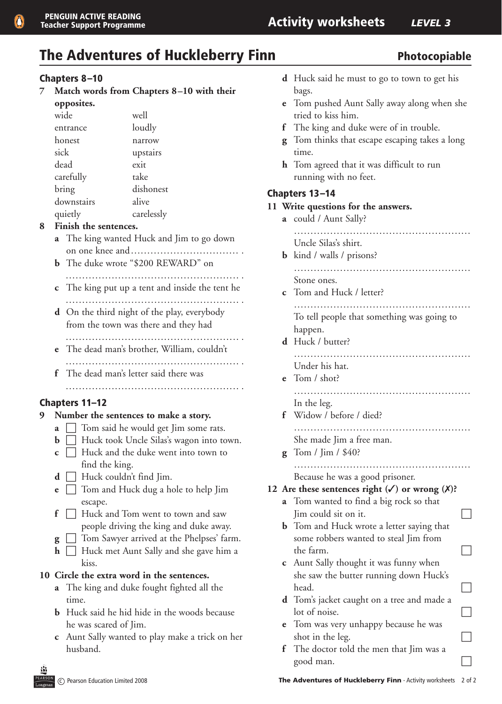# The Adventures of Huckleberry Finn The Adventures of Huckleberry Finn

#### Chapters 8–10

**7 Match words from Chapters 8–10 with their opposites.**

| wide       | well       |
|------------|------------|
| entrance   | loudly     |
| honest     | narrow     |
| sick       | upstairs   |
| dead       | exit       |
| carefully  | take       |
| bring      | dishonest  |
| downstairs | alive      |
| quietly    | carelessly |

#### **8 Finish the sentences.**

- **a** The king wanted Huck and Jim to go down on one knee and …………………………… .
- **b** The duke wrote "\$200 REWARD" on
- ……………………………………………………………… **c** The king put up a tent and inside the tent he …………………………………………….. .
- **d** On the third night of the play, everybody from the town was there and they had
- …………………………………………….. .  **e** The dead man's brother, William, couldn't …………………………………………….. .
- **f** The dead man's letter said there was …………………………………………….. .

#### Chapters 11–12

#### **9 Number the sentences to make a story.**

- **a**  $\Box$  Tom said he would get Jim some rats.
- **b**  $\Box$  Huck took Uncle Silas's wagon into town.
- $\mathbf{c}$   $\Box$  Huck and the duke went into town to find the king.
- $\mathbf{d}$   $\Box$  Huck couldn't find Jim.
- **e**  $\Box$  Tom and Huck dug a hole to help Jim escape.
- $\bf{f}$   $\Box$  Huck and Tom went to town and saw people driving the king and duke away.
- **g**  $\Box$  Tom Sawyer arrived at the Phelpses' farm.
- **h**  $\Box$  Huck met Aunt Sally and she gave him a kiss.

#### **10 Circle the extra word in the sentences.**

- **a**  The king and duke fought fighted all the time.
- **b** Huck said he hid hide in the woods because he was scared of Jim.
- **c**  Aunt Sally wanted to play make a trick on her husband.

| <b>d</b> Huck said he must to go to town to get his |  |  |  |  |  |
|-----------------------------------------------------|--|--|--|--|--|
| bags.                                               |  |  |  |  |  |

- **e** Tom pushed Aunt Sally away along when she tried to kiss him.
- **f** The king and duke were of in trouble.
- **g** Tom thinks that escape escaping takes a long time.
- **h** Tom agreed that it was difficult to run running with no feet.

#### Chapters 13–14

#### **11 Write questions for the answers.**

**a** could / Aunt Sally? ……………………………………………… Uncle Silas's shirt. **b** kind / walls / prisons? ……………………………………………… Stone ones. **c** Tom and Huck / letter? ……………………………………………… To tell people that something was going to happen.  **d** Huck / butter? ……………………………………………… Under his hat. **e** Tom / shot? ……………………………………………… In the leg. **f** Widow / before / died? ……………………………………………… She made Jim a free man.  **g** Tom / Jim / \$40? ……………………………………………… Because he was a good prisoner. **12** Are these sentences right  $(\checkmark)$  or wrong  $(\checkmark)$ ? **a** Tom wanted to find a big rock so that  $\Box$  Jim could sit on it. **b** Tom and Huck wrote a letter saying that some robbers wanted to steal Jim from the farm.  $\Box$  **c** Aunt Sally thought it was funny when she saw the butter running down Huck's head. **d** Tom's jacket caught on a tree and made a  $\log$  lot of noise. **e** Tom was very unhappy because he was shot in the leg.  $\Box$ **f** The doctor told the men that Jim was a good man.  $\Box$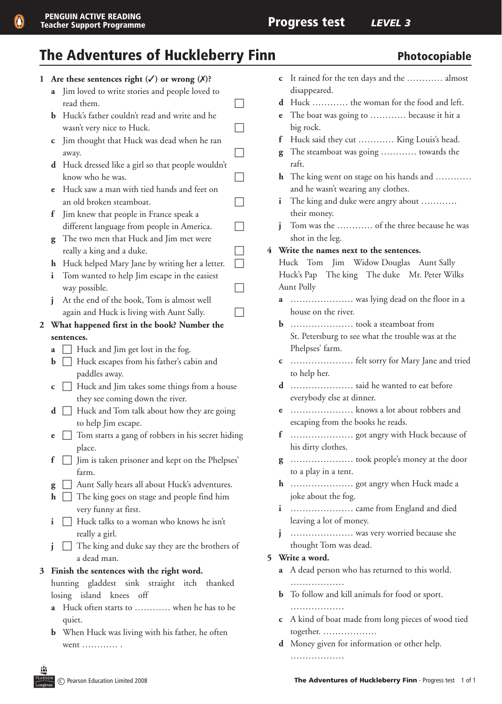Q

# The Adventures of Huckleberry Finn Photocopiable

| $\mathbf{1}$ |             | Are these sentences right $(\checkmark)$ or wrong $(\checkmark)$ ? |  |
|--------------|-------------|--------------------------------------------------------------------|--|
|              | a           | Jim loved to write stories and people loved to                     |  |
|              |             | read them.                                                         |  |
|              | b           | Huck's father couldn't read and write and he                       |  |
|              |             | wasn't very nice to Huck.                                          |  |
|              | С           | Jim thought that Huck was dead when he ran                         |  |
|              |             | away.                                                              |  |
|              | d           | Huck dressed like a girl so that people wouldn't                   |  |
|              |             | know who he was.                                                   |  |
|              | e           | Huck saw a man with tied hands and feet on                         |  |
|              |             | an old broken steamboat.                                           |  |
|              | f           | Jim knew that people in France speak a                             |  |
|              |             | different language from people in America.                         |  |
|              | g           | The two men that Huck and Jim met were                             |  |
|              |             | really a king and a duke.                                          |  |
|              | h           | Huck helped Mary Jane by writing her a letter.                     |  |
|              | i           | Tom wanted to help Jim escape in the easiest                       |  |
|              |             | way possible.                                                      |  |
|              | i           | At the end of the book, Tom is almost well                         |  |
|              |             | again and Huck is living with Aunt Sally.                          |  |
| $\mathbf{2}$ |             | What happened first in the book? Number the                        |  |
|              |             | sentences.                                                         |  |
|              | a           | Huck and Jim get lost in the fog.                                  |  |
|              | b           | Huck escapes from his father's cabin and                           |  |
|              |             | paddles away.<br>Huck and Jim takes some things from a house       |  |
|              | C           | they see coming down the river.                                    |  |
|              | d           | Huck and Tom talk about how they are going                         |  |
|              |             | to help Jim escape.                                                |  |
|              | e           | Tom starts a gang of robbers in his secret hiding                  |  |
|              |             | place.                                                             |  |
|              | f           | Jim is taken prisoner and kept on the Phelpses'                    |  |
|              |             | farm.                                                              |  |
|              | g           | Aunt Sally hears all about Huck's adventures.                      |  |
|              | $\mathbf h$ | $\Box$ The king goes on stage and people find him                  |  |
|              |             | very funny at first.                                               |  |
|              | i           | Huck talks to a woman who knows he isn't                           |  |
|              |             | really a girl.                                                     |  |
|              | j           | The king and duke say they are the brothers of                     |  |
|              |             | a dead man.                                                        |  |
| 3            |             | Finish the sentences with the right word.                          |  |
|              |             | hunting gladdest sink straight itch thanked                        |  |
|              |             | losing island knees off                                            |  |
|              | a           | Huck often starts to  when he has to be                            |  |
|              |             | quiet.                                                             |  |
|              |             | <b>b</b> When Huck was living with his father, he often            |  |
|              |             | went                                                               |  |
|              |             |                                                                    |  |

|   | С                                                       | It rained for the ten days and the  almost        |  |  |  |  |  |
|---|---------------------------------------------------------|---------------------------------------------------|--|--|--|--|--|
|   |                                                         | disappeared.                                      |  |  |  |  |  |
|   | d                                                       | Huck  the woman for the food and left.            |  |  |  |  |  |
|   | e                                                       | The boat was going to  because it hit a           |  |  |  |  |  |
|   |                                                         | big rock.                                         |  |  |  |  |  |
|   | f                                                       | Huck said they cut  King Louis's head.            |  |  |  |  |  |
|   | g                                                       | The steamboat was going  towards the              |  |  |  |  |  |
|   |                                                         | raft.                                             |  |  |  |  |  |
|   | The king went on stage on his hands and<br>$\mathbf{h}$ |                                                   |  |  |  |  |  |
|   | and he wasn't wearing any clothes.                      |                                                   |  |  |  |  |  |
|   | The king and duke were angry about<br>i.                |                                                   |  |  |  |  |  |
|   |                                                         | their money.                                      |  |  |  |  |  |
|   | i                                                       | Tom was the  of the three because he was          |  |  |  |  |  |
|   |                                                         | shot in the leg.                                  |  |  |  |  |  |
| 4 |                                                         | Write the names next to the sentences.            |  |  |  |  |  |
|   |                                                         |                                                   |  |  |  |  |  |
|   |                                                         | Huck Tom Jim Widow Douglas Aunt Sally             |  |  |  |  |  |
|   |                                                         | Huck's Pap The king The duke Mr. Peter Wilks      |  |  |  |  |  |
|   |                                                         | <b>Aunt Polly</b>                                 |  |  |  |  |  |
|   |                                                         | <b>a</b> was lying dead on the floor in a         |  |  |  |  |  |
|   | house on the river.                                     |                                                   |  |  |  |  |  |
|   | b.                                                      |                                                   |  |  |  |  |  |
|   | St. Petersburg to see what the trouble was at the       |                                                   |  |  |  |  |  |
|   |                                                         | Phelpses' farm.                                   |  |  |  |  |  |
|   | С                                                       | felt sorry for Mary Jane and tried                |  |  |  |  |  |
|   |                                                         | to help her.                                      |  |  |  |  |  |
|   | d                                                       | said he wanted to eat before                      |  |  |  |  |  |
|   |                                                         | everybody else at dinner.                         |  |  |  |  |  |
|   | e                                                       | knows a lot about robbers and                     |  |  |  |  |  |
|   |                                                         | escaping from the books he reads.                 |  |  |  |  |  |
|   | f                                                       | got angry with Huck because of                    |  |  |  |  |  |
|   |                                                         | his dirty clothes.                                |  |  |  |  |  |
|   | g                                                       | took people's money at the door                   |  |  |  |  |  |
|   |                                                         | to a play in a tent.                              |  |  |  |  |  |
|   | $\mathbf{h}$                                            |                                                   |  |  |  |  |  |
|   |                                                         | joke about the fog.                               |  |  |  |  |  |
|   | i                                                       |                                                   |  |  |  |  |  |
|   |                                                         | leaving a lot of money.                           |  |  |  |  |  |
|   | j                                                       | was very worried because she                      |  |  |  |  |  |
|   |                                                         | thought Tom was dead.                             |  |  |  |  |  |
| 5 |                                                         | Write a word.                                     |  |  |  |  |  |
|   |                                                         |                                                   |  |  |  |  |  |
|   | a                                                       | A dead person who has returned to this world.     |  |  |  |  |  |
|   |                                                         | .                                                 |  |  |  |  |  |
|   | b.                                                      | To follow and kill animals for food or sport.     |  |  |  |  |  |
|   |                                                         |                                                   |  |  |  |  |  |
|   | С                                                       | A kind of boat made from long pieces of wood tied |  |  |  |  |  |
|   |                                                         | together.                                         |  |  |  |  |  |
|   | d                                                       | Money given for information or other help.        |  |  |  |  |  |

盡 PEARS ………………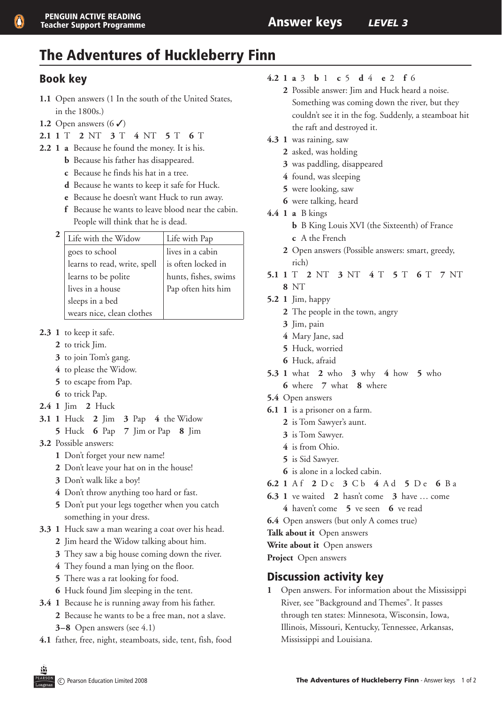# The Adventures of Huckleberry Finn

### Book key

- 1.1 Open answers (1 In the south of the United States, in the 1800s.)
- **1.2** Open answers  $(6 \checkmark)$
- **2.1 1** T **2** NT **3** T **4** NT **5** T **6** T
- **2.2 1 a** Because he found the money. It is his.
	- **b** Because his father has disappeared.
	- **c** Because he finds his hat in a tree.
	- **d** Because he wants to keep it safe for Huck.
	- **e** Because he doesn't want Huck to run away.
	- **f** Because he wants to leave blood near the cabin. People will think that he is dead.

| Life with the Widow          | Life with Pap        |
|------------------------------|----------------------|
| goes to school               | lives in a cabin     |
| learns to read, write, spell | is often locked in   |
| learns to be polite          | hunts, fishes, swims |
| lives in a house             | Pap often hits him   |
| sleeps in a bed              |                      |
| wears nice, clean clothes    |                      |

- **2.3 1** to keep it safe.
	- **2** to trick Jim.
	- **3** to join Tom's gang.
	- **4** to please the Widow.
	- **5** to escape from Pap.
	- **6** to trick Pap.
- **2.4 1** Jim **2** Huck
- **3.1 1** Huck **2** Jim **3** Pap **4** the Widow
	- **5** Huck **6** Pap **7** Jim or Pap **8** Jim
- **3.2**  Possible answers:
	- **1** Don't forget your new name!
	- **2** Don't leave your hat on in the house!
	- **3** Don't walk like a boy!
	- **4** Don't throw anything too hard or fast.
	- **5** Don't put your legs together when you catch something in your dress.
- **3.3 1** Huck saw a man wearing a coat over his head.
	- **2** Jim heard the Widow talking about him.
	- **3** They saw a big house coming down the river.
	- **4** They found a man lying on the floor.
	- **5** There was a rat looking for food.
	- **6** Huck found Jim sleeping in the tent.
- **3.4 1** Because he is running away from his father.
	- **2** Because he wants to be a free man, not a slave.
	- **3–8** Open answers (see 4.1)
- **4.1** father, free, night, steamboats, side, tent, fish, food
- **4.2 1 a** 3 **b** 1 **c** 5 **d** 4 **e** 2 **f** 6
	- **2** Possible answer: Jim and Huck heard a noise. Something was coming down the river, but they couldn't see it in the fog. Suddenly, a steamboat hit the raft and destroyed it.
- **4.3 1** was raining, saw
	- **2** asked, was holding
	- **3** was paddling, disappeared
	- **4** found, was sleeping
	- **5** were looking, saw
	- **6** were talking, heard
- **4.4 1 a** B kings
	- **b** B King Louis XVI (the Sixteenth) of France **c** A the French
	- **2** Open answers (Possible answers: smart, greedy, rich)
- **5.1 1** T **2** NT **3** NT **4** T **5** T **6** T **7** NT **8** NT
- **5.2 1** Jim, happy
	- **2** The people in the town, angry
	- **3** Jim, pain
	- **4** Mary Jane, sad
	- **5** Huck, worried
	- **6** Huck, afraid
- **5.3 1** what **2** who **3** why **4** how **5** who **6** where **7** what **8** where
- **5.4**  Open answers
- **6.1 1** is a prisoner on a farm.
	- **2** is Tom Sawyer's aunt.
	- **3** is Tom Sawyer.
	- **4** is from Ohio.
	- **5** is Sid Sawyer.
	- **6** is alone in a locked cabin.
- **6.2 1** A f **2** D c **3** C b **4** A d **5** D e **6** B a
- **6.3 1** ve waited **2** hasn't come **3** have … come
	- **4** haven't come **5** ve seen **6** ve read
- **6.4** Open answers (but only A comes true)
- **Talk about it** Open answers

**Write about it** Open answers

**Project** Open answers

### Discussion activity key

**1** Open answers. For information about the Mississippi River, see "Background and Themes". It passes through ten states: Minnesota, Wisconsin, Iowa, Illinois, Missouri, Kentucky, Tennessee, Arkansas, Mississippi and Louisiana.